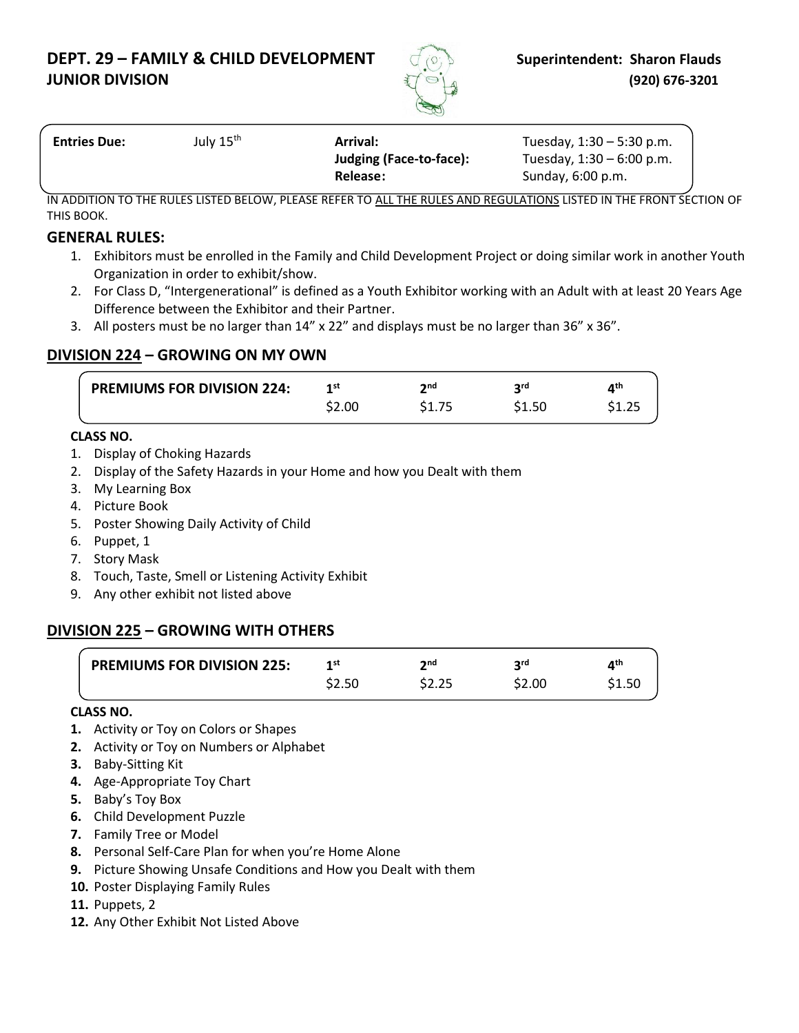**DEPT. 29 – FAMILY & CHILD DEVELOPMENT**  $\sigma$  **superintendent: Sharon Flauds JUNIOR DIVISION (920) 676-3201**



**Entries Due:** July 15th **Arrival:** Tuesday, 1:30 – 5:30 p.m.

**Release:** Sunday, 6:00 p.m.

**Judging (Face-to-face):** Tuesday, 1:30 – 6:00 p.m.

IN ADDITION TO THE RULES LISTED BELOW, PLEASE REFER TO ALL THE RULES AND REGULATIONS LISTED IN THE FRONT SECTION OF THIS BOOK.

### **GENERAL RULES:**

- 1. Exhibitors must be enrolled in the Family and Child Development Project or doing similar work in another Youth Organization in order to exhibit/show.
- 2. For Class D, "Intergenerational" is defined as a Youth Exhibitor working with an Adult with at least 20 Years Age Difference between the Exhibitor and their Partner.
- 3. All posters must be no larger than 14" x 22" and displays must be no larger than 36" x 36".

### **DIVISION 224 – GROWING ON MY OWN**

| <b>PREMIUMS FOR DIVISION 224:</b> | 1st    | າnd    | ord   | ⊿th    |
|-----------------------------------|--------|--------|-------|--------|
|                                   | \$2.00 | \$1.75 | S1.50 | \$1.25 |
|                                   |        |        |       |        |

#### **CLASS NO.**

- 1. Display of Choking Hazards
- 2. Display of the Safety Hazards in your Home and how you Dealt with them
- 3. My Learning Box
- 4. Picture Book
- 5. Poster Showing Daily Activity of Child
- 6. Puppet, 1
- 7. Story Mask
- 8. Touch, Taste, Smell or Listening Activity Exhibit
- 9. Any other exhibit not listed above

### **DIVISION 225 – GROWING WITH OTHERS**

| <b>PREMIUMS FOR DIVISION 225:</b> | 1st    | ን nd   | ord    | ⊿th    |
|-----------------------------------|--------|--------|--------|--------|
|                                   | \$2.50 | \$2.25 | \$2.00 | \$1.50 |

#### **CLASS NO.**

- **1.** Activity or Toy on Colors or Shapes
- **2.** Activity or Toy on Numbers or Alphabet
- **3.** Baby-Sitting Kit
- **4.** Age-Appropriate Toy Chart
- **5.** Baby's Toy Box
- **6.** Child Development Puzzle
- **7.** Family Tree or Model
- **8.** Personal Self-Care Plan for when you're Home Alone
- **9.** Picture Showing Unsafe Conditions and How you Dealt with them
- **10.** Poster Displaying Family Rules
- **11.** Puppets, 2
- **12.** Any Other Exhibit Not Listed Above